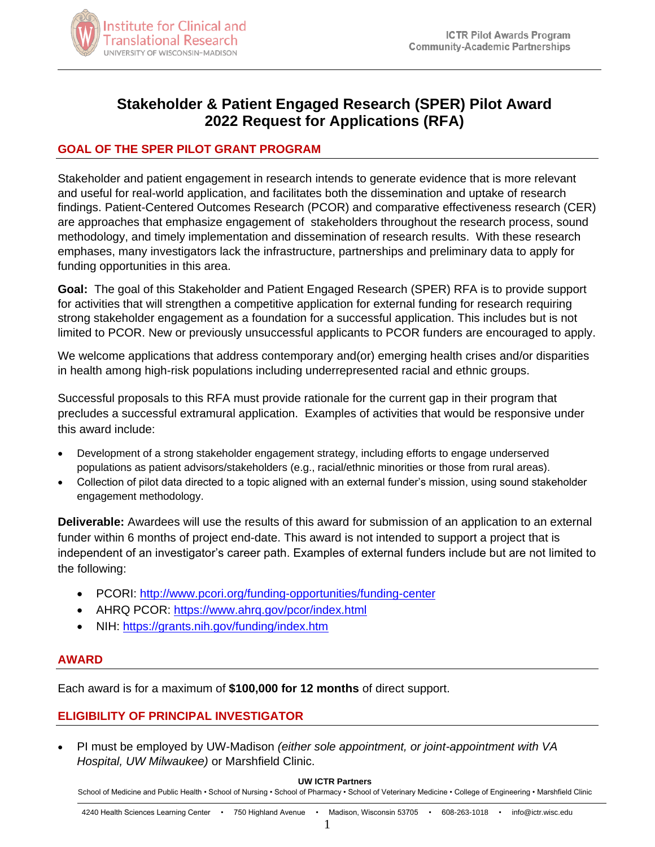

# **Stakeholder & Patient Engaged Research (SPER) Pilot Award 2022 Request for Applications (RFA)**

# **GOAL OF THE SPER PILOT GRANT PROGRAM**

Stakeholder and patient engagement in research intends to generate evidence that is more relevant and useful for real-world application, and facilitates both the dissemination and uptake of research findings. Patient-Centered Outcomes Research (PCOR) and comparative effectiveness research (CER) are approaches that emphasize engagement of stakeholders throughout the research process, sound methodology, and timely implementation and dissemination of research results. With these research emphases, many investigators lack the infrastructure, partnerships and preliminary data to apply for funding opportunities in this area.

**Goal:** The goal of this Stakeholder and Patient Engaged Research (SPER) RFA is to provide support for activities that will strengthen a competitive application for external funding for research requiring strong stakeholder engagement as a foundation for a successful application. This includes but is not limited to PCOR. New or previously unsuccessful applicants to PCOR funders are encouraged to apply.

We welcome applications that address contemporary and(or) emerging health crises and/or disparities in health among high-risk populations including underrepresented racial and ethnic groups.

Successful proposals to this RFA must provide rationale for the current gap in their program that precludes a successful extramural application. Examples of activities that would be responsive under this award include:

- Development of a strong stakeholder engagement strategy, including efforts to engage underserved populations as patient advisors/stakeholders (e.g., racial/ethnic minorities or those from rural areas).
- Collection of pilot data directed to a topic aligned with an external funder's mission, using sound stakeholder engagement methodology.

**Deliverable:** Awardees will use the results of this award for submission of an application to an external funder within 6 months of project end-date. This award is not intended to support a project that is independent of an investigator's career path. Examples of external funders include but are not limited to the following:

- PCORI: http://www.pcori.org/funding-opportunities/funding-center
- AHRQ PCOR:<https://www.ahrq.gov/pcor/index.html>
- NIH:<https://grants.nih.gov/funding/index.htm>

# **AWARD**

Each award is for a maximum of **\$100,000 for 12 months** of direct support.

# **ELIGIBILITY OF PRINCIPAL INVESTIGATOR**

 PI must be employed by UW-Madison *(either sole appointment, or joint-appointment with VA Hospital, UW Milwaukee)* or Marshfield Clinic.

#### **UW ICTR Partners**

School of Medicine and Public Health • School of Nursing • School of Pharmacy • School of Veterinary Medicine • College of Engineering • Marshfield Clinic

1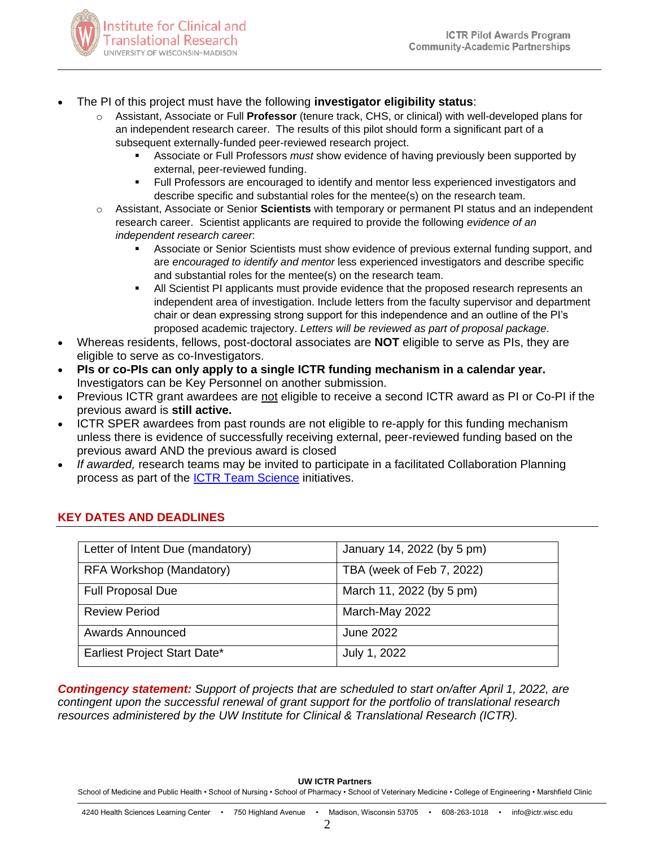

- The PI of this project must have the following **investigator eligibility status**:
	- o Assistant, Associate or Full **Professor** (tenure track, CHS, or clinical) with well-developed plans for an independent research career. The results of this pilot should form a significant part of a subsequent externally-funded peer-reviewed research project.
		- Associate or Full Professors *must* show evidence of having previously been supported by external, peer-reviewed funding.
		- **Full Professors are encouraged to identify and mentor less experienced investigators and** describe specific and substantial roles for the mentee(s) on the research team.
	- o Assistant, Associate or Senior **Scientists** with temporary or permanent PI status and an independent research career. Scientist applicants are required to provide the following *evidence of an independent research career*:
		- Associate or Senior Scientists must show evidence of previous external funding support, and are *encouraged to identify and mentor* less experienced investigators and describe specific and substantial roles for the mentee(s) on the research team.
		- All Scientist PI applicants must provide evidence that the proposed research represents an independent area of investigation. Include letters from the faculty supervisor and department chair or dean expressing strong support for this independence and an outline of the PI's proposed academic trajectory. *Letters will be reviewed as part of proposal package*.
- Whereas residents, fellows, post-doctoral associates are **NOT** eligible to serve as PIs, they are eligible to serve as co-Investigators.
- **PIs or co-PIs can only apply to a single ICTR funding mechanism in a calendar year.**  Investigators can be Key Personnel on another submission.
- Previous ICTR grant awardees are not eligible to receive a second ICTR award as PI or Co-PI if the previous award is **still active.**
- ICTR SPER awardees from past rounds are not eligible to re-apply for this funding mechanism unless there is evidence of successfully receiving external, peer-reviewed funding based on the previous award AND the previous award is closed
- *If awarded,* research teams may be invited to participate in a facilitated Collaboration Planning process as part of the [ICTR Team Science](https://ictr.wisc.edu/team-science/) initiatives.

| Letter of Intent Due (mandatory) | January 14, 2022 (by 5 pm) |
|----------------------------------|----------------------------|
| RFA Workshop (Mandatory)         | TBA (week of Feb 7, 2022)  |
| <b>Full Proposal Due</b>         | March 11, 2022 (by 5 pm)   |
| <b>Review Period</b>             | March-May 2022             |
| <b>Awards Announced</b>          | <b>June 2022</b>           |
| Earliest Project Start Date*     | July 1, 2022               |

# **KEY DATES AND DEADLINES**

*Contingency statement: Support of projects that are scheduled to start on/after April 1, 2022, are contingent upon the successful renewal of grant support for the portfolio of translational research resources administered by the UW Institute for Clinical & Translational Research (ICTR).*

**UW ICTR Partners**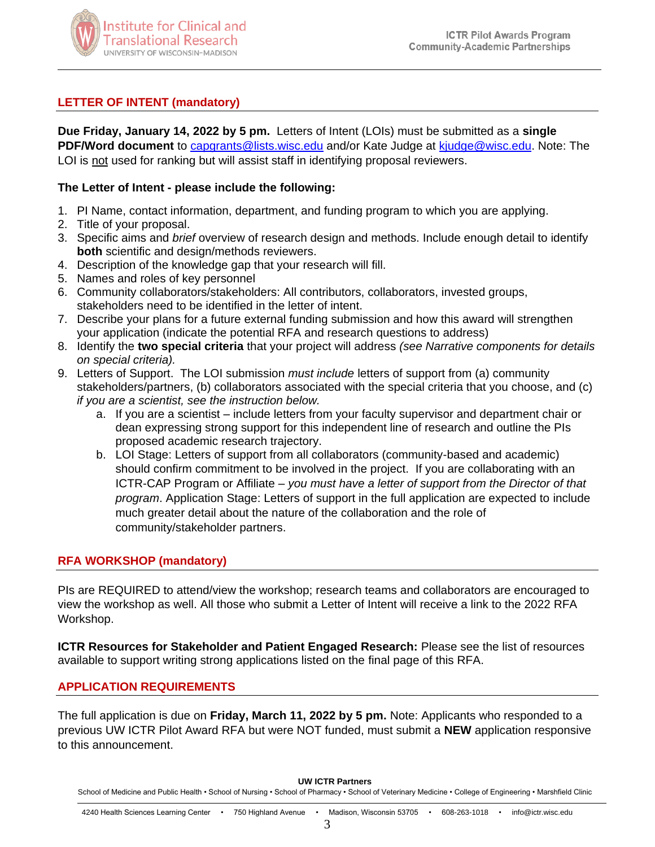

# **LETTER OF INTENT (mandatory)**

**Due Friday, January 14, 2022 by 5 pm.** Letters of Intent (LOIs) must be submitted as a **single PDF/Word document** to [capgrants@lists.wisc.edu](mailto:capgrants@lists.wisc.edu) and/or Kate Judge at [kjudge@wisc.edu.](mailto:kjudge@wisc.edu) Note: The LOI is not used for ranking but will assist staff in identifying proposal reviewers.

### **The Letter of Intent - please include the following:**

- 1. PI Name, contact information, department, and funding program to which you are applying.
- 2. Title of your proposal.
- 3. Specific aims and *brief* overview of research design and methods. Include enough detail to identify **both** scientific and design/methods reviewers.
- 4. Description of the knowledge gap that your research will fill.
- 5. Names and roles of key personnel
- 6. Community collaborators/stakeholders: All contributors, collaborators, invested groups, stakeholders need to be identified in the letter of intent.
- 7. Describe your plans for a future external funding submission and how this award will strengthen your application (indicate the potential RFA and research questions to address)
- 8. Identify the **two special criteria** that your project will address *(see Narrative components for details on special criteria).*
- 9. Letters of Support. The LOI submission *must include* letters of support from (a) community stakeholders/partners, (b) collaborators associated with the special criteria that you choose, and (c) *if you are a scientist, see the instruction below.*
	- a. If you are a scientist include letters from your faculty supervisor and department chair or dean expressing strong support for this independent line of research and outline the PIs proposed academic research trajectory.
	- b. LOI Stage: Letters of support from all collaborators (community-based and academic) should confirm commitment to be involved in the project. If you are collaborating with an ICTR-CAP Program or Affiliate – *you must have a letter of support from the Director of that program*. Application Stage: Letters of support in the full application are expected to include much greater detail about the nature of the collaboration and the role of community/stakeholder partners.

# **RFA WORKSHOP (mandatory)**

PIs are REQUIRED to attend/view the workshop; research teams and collaborators are encouraged to view the workshop as well. All those who submit a Letter of Intent will receive a link to the 2022 RFA Workshop.

**ICTR Resources for Stakeholder and Patient Engaged Research:** Please see the list of resources available to support writing strong applications listed on the final page of this RFA.

### **APPLICATION REQUIREMENTS**

The full application is due on **Friday, March 11, 2022 by 5 pm.** Note: Applicants who responded to a previous UW ICTR Pilot Award RFA but were NOT funded, must submit a **NEW** application responsive to this announcement.

#### **UW ICTR Partners**

School of Medicine and Public Health • School of Nursing • School of Pharmacy • School of Veterinary Medicine • College of Engineering • Marshfield Clinic

3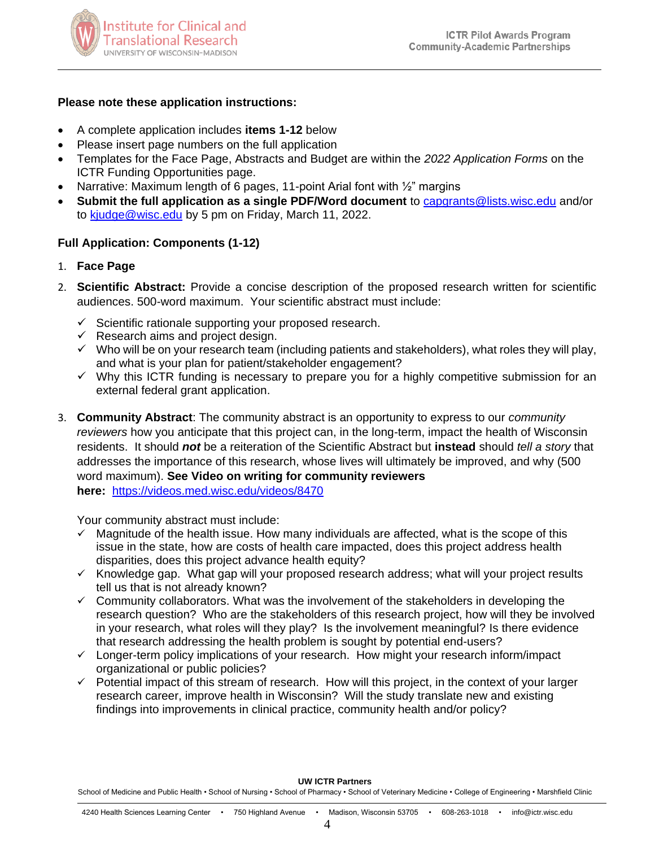

### **Please note these application instructions:**

- A complete application includes **items 1-12** below
- Please insert page numbers on the full application
- Templates for the Face Page, Abstracts and Budget are within the *2022 Application Forms* on the ICTR Funding Opportunities page.
- Narrative: Maximum length of 6 pages, 11-point Arial font with 1/2" margins
- **Submit the full application as a single PDF/Word document** to [capgrants@lists.wisc.edu](mailto:capgrants@lists.wisc.edu) and/or to [kjudge@wisc.edu](mailto:kjudge@wisc.edu) by 5 pm on Friday, March 11, 2022.

### **Full Application: Components (1-12)**

- 1. **Face Page**
- 2. **Scientific Abstract:** Provide a concise description of the proposed research written for scientific audiences. 500-word maximum. Your scientific abstract must include:
	- $\checkmark$  Scientific rationale supporting your proposed research.
	- $\checkmark$  Research aims and project design.
	- $\checkmark$  Who will be on your research team (including patients and stakeholders), what roles they will play, and what is your plan for patient/stakeholder engagement?
	- $\checkmark$  Why this ICTR funding is necessary to prepare you for a highly competitive submission for an external federal grant application.
- 3. **Community Abstract**: The community abstract is an opportunity to express to our *community reviewers* how you anticipate that this project can, in the long-term, impact the health of Wisconsin residents. It should *not* be a reiteration of the Scientific Abstract but **instead** should *tell a story* that addresses the importance of this research, whose lives will ultimately be improved, and why (500 word maximum). **See Video on writing for community reviewers here:** <https://videos.med.wisc.edu/videos/8470>

Your community abstract must include:

- $\checkmark$  Magnitude of the health issue. How many individuals are affected, what is the scope of this issue in the state, how are costs of health care impacted, does this project address health disparities, does this project advance health equity?
- $\checkmark$  Knowledge gap. What gap will your proposed research address; what will your project results tell us that is not already known?
- $\checkmark$  Community collaborators. What was the involvement of the stakeholders in developing the research question? Who are the stakeholders of this research project, how will they be involved in your research, what roles will they play? Is the involvement meaningful? Is there evidence that research addressing the health problem is sought by potential end-users?
- $\checkmark$  Longer-term policy implications of your research. How might your research inform/impact organizational or public policies?
- $\checkmark$  Potential impact of this stream of research. How will this project, in the context of your larger research career, improve health in Wisconsin? Will the study translate new and existing findings into improvements in clinical practice, community health and/or policy?

#### **UW ICTR Partners**

School of Medicine and Public Health • School of Nursing • School of Pharmacy • School of Veterinary Medicine • College of Engineering • Marshfield Clinic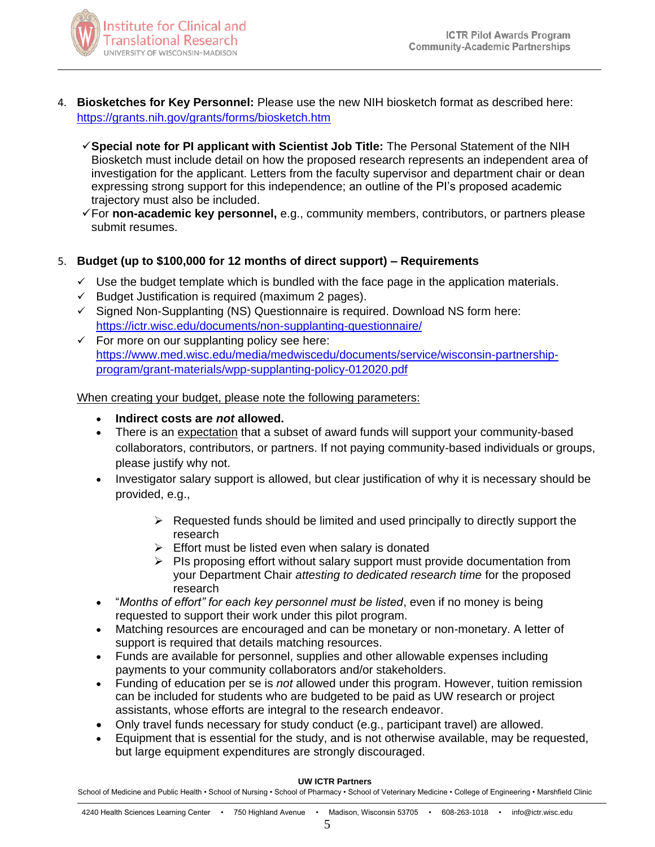

- 4. **Biosketches for Key Personnel:** Please use the new NIH biosketch format as described here: <https://grants.nih.gov/grants/forms/biosketch.htm>
	- **Special note for PI applicant with Scientist Job Title:** The Personal Statement of the NIH Biosketch must include detail on how the proposed research represents an independent area of investigation for the applicant. Letters from the faculty supervisor and department chair or dean expressing strong support for this independence; an outline of the PI's proposed academic trajectory must also be included.
	- For **non-academic key personnel,** e.g., community members, contributors, or partners please submit resumes.

# 5. **Budget (up to \$100,000 for 12 months of direct support) – Requirements**

- $\checkmark$  Use the budget template which is bundled with the face page in the application materials.
- $\checkmark$  Budget Justification is required (maximum 2 pages).
- $\checkmark$  Signed Non-Supplanting (NS) Questionnaire is required. Download NS form here: <https://ictr.wisc.edu/documents/non-supplanting-questionnaire/>
- $\checkmark$  For more on our supplanting policy see here: [https://www.med.wisc.edu/media/medwiscedu/documents/service/wisconsin-partnership](https://www.med.wisc.edu/media/medwiscedu/documents/service/wisconsin-partnership-program/grant-materials/wpp-supplanting-policy-012020.pdf)[program/grant-materials/wpp-supplanting-policy-012020.pdf](https://www.med.wisc.edu/media/medwiscedu/documents/service/wisconsin-partnership-program/grant-materials/wpp-supplanting-policy-012020.pdf)

When creating your budget, please note the following parameters:

- **Indirect costs are** *not* **allowed.**
- There is an expectation that a subset of award funds will support your community-based collaborators, contributors, or partners. If not paying community-based individuals or groups, please justify why not.
- Investigator salary support is allowed, but clear justification of why it is necessary should be provided, e.g.,
	- $\triangleright$  Requested funds should be limited and used principally to directly support the research
	- $\triangleright$  Effort must be listed even when salary is donated
	- $\triangleright$  PIs proposing effort without salary support must provide documentation from your Department Chair *attesting to dedicated research time* for the proposed research
- "*Months of effort" for each key personnel must be listed*, even if no money is being requested to support their work under this pilot program.
- Matching resources are encouraged and can be monetary or non-monetary. A letter of support is required that details matching resources.
- Funds are available for personnel, supplies and other allowable expenses including payments to your community collaborators and/or stakeholders.
- Funding of education per se is *not* allowed under this program. However, tuition remission can be included for students who are budgeted to be paid as UW research or project assistants, whose efforts are integral to the research endeavor.
- Only travel funds necessary for study conduct (e.g., participant travel) are allowed.
- Equipment that is essential for the study, and is not otherwise available, may be requested, but large equipment expenditures are strongly discouraged.

#### **UW ICTR Partners**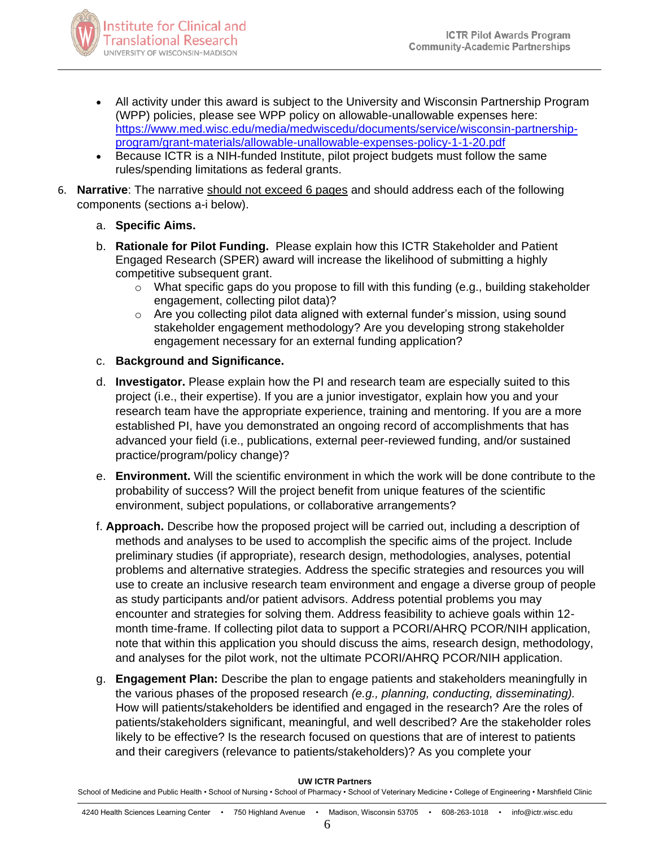

- All activity under this award is subject to the University and Wisconsin Partnership Program (WPP) policies, please see WPP policy on allowable-unallowable expenses here: [https://www.med.wisc.edu/media/medwiscedu/documents/service/wisconsin-partnership](https://www.med.wisc.edu/media/medwiscedu/documents/service/wisconsin-partnership-program/grant-materials/allowable-unallowable-expenses-policy-1-1-20.pdf)[program/grant-materials/allowable-unallowable-expenses-policy-1-1-20.pdf](https://www.med.wisc.edu/media/medwiscedu/documents/service/wisconsin-partnership-program/grant-materials/allowable-unallowable-expenses-policy-1-1-20.pdf)
- Because ICTR is a NIH-funded Institute, pilot project budgets must follow the same rules/spending limitations as federal grants.
- 6. **Narrative**: The narrative should not exceed 6 pages and should address each of the following components (sections a-i below).
	- a. **Specific Aims.**
	- b. **Rationale for Pilot Funding.** Please explain how this ICTR Stakeholder and Patient Engaged Research (SPER) award will increase the likelihood of submitting a highly competitive subsequent grant.
		- o What specific gaps do you propose to fill with this funding (e.g., building stakeholder engagement, collecting pilot data)?
		- $\circ$  Are you collecting pilot data aligned with external funder's mission, using sound stakeholder engagement methodology? Are you developing strong stakeholder engagement necessary for an external funding application?
	- c. **Background and Significance.**
	- d. **Investigator.** Please explain how the PI and research team are especially suited to this project (i.e., their expertise). If you are a junior investigator, explain how you and your research team have the appropriate experience, training and mentoring. If you are a more established PI, have you demonstrated an ongoing record of accomplishments that has advanced your field (i.e., publications, external peer-reviewed funding, and/or sustained practice/program/policy change)?
	- e. **Environment.** Will the scientific environment in which the work will be done contribute to the probability of success? Will the project benefit from unique features of the scientific environment, subject populations, or collaborative arrangements?
	- f. **Approach.** Describe how the proposed project will be carried out, including a description of methods and analyses to be used to accomplish the specific aims of the project. Include preliminary studies (if appropriate), research design, methodologies, analyses, potential problems and alternative strategies. Address the specific strategies and resources you will use to create an inclusive research team environment and engage a diverse group of people as study participants and/or patient advisors. Address potential problems you may encounter and strategies for solving them. Address feasibility to achieve goals within 12 month time-frame. If collecting pilot data to support a PCORI/AHRQ PCOR/NIH application, note that within this application you should discuss the aims, research design, methodology, and analyses for the pilot work, not the ultimate PCORI/AHRQ PCOR/NIH application.
	- g. **Engagement Plan:** Describe the plan to engage patients and stakeholders meaningfully in the various phases of the proposed research *(e.g., planning, conducting, disseminating).*  How will patients/stakeholders be identified and engaged in the research? Are the roles of patients/stakeholders significant, meaningful, and well described? Are the stakeholder roles likely to be effective? Is the research focused on questions that are of interest to patients and their caregivers (relevance to patients/stakeholders)? As you complete your

#### **UW ICTR Partners**

School of Medicine and Public Health • School of Nursing • School of Pharmacy • School of Veterinary Medicine • College of Engineering • Marshfield Clinic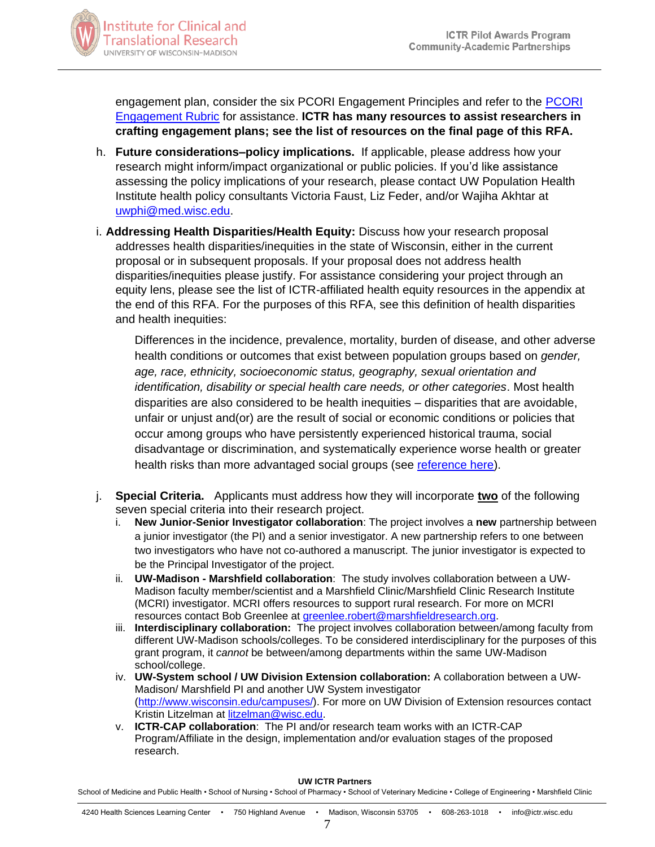

engagement plan, consider the six PCORI Engagement Principles and refer to the [PCORI](http://www.pcori.org/sites/default/files/Engagement-Rubric.pdf)  [Engagement Rubric](http://www.pcori.org/sites/default/files/Engagement-Rubric.pdf) for assistance. **ICTR has many resources to assist researchers in crafting engagement plans; see the list of resources on the final page of this RFA.**

- h. **Future considerations–policy implications.** If applicable, please address how your research might inform/impact organizational or public policies. If you'd like assistance assessing the policy implications of your research, please contact UW Population Health Institute health policy consultants Victoria Faust, Liz Feder, and/or Wajiha Akhtar at [uwphi@med.wisc.edu.](mailto:uwphi@med.wisc.edu)
- i. **Addressing Health Disparities/Health Equity:** Discuss how your research proposal addresses health disparities/inequities in the state of Wisconsin, either in the current proposal or in subsequent proposals. If your proposal does not address health disparities/inequities please justify. For assistance considering your project through an equity lens, please see the list of ICTR-affiliated health equity resources in the appendix at the end of this RFA. For the purposes of this RFA, see this definition of health disparities and health inequities:

Differences in the incidence, prevalence, mortality, burden of disease, and other adverse health conditions or outcomes that exist between population groups based on *gender, age, race, ethnicity, socioeconomic status, geography, sexual orientation and identification, disability or special health care needs, or other categories*. Most health disparities are also considered to be health inequities – disparities that are avoidable, unfair or unjust and(or) are the result of social or economic conditions or policies that occur among groups who have persistently experienced historical trauma, social disadvantage or discrimination, and systematically experience worse health or greater health risks than more advantaged social groups (see [reference here\)](file://///HIPFS1/Documents/ICTR/Pilot%20Grant%20Program/2022_Round%2015/2021_11_01_RFAs/SPER%20RFA/(https:/www.ncbi.nlm.nih.gov/pmc/articles/PMC3222512/).).

- j. **Special Criteria.** Applicants must address how they will incorporate **two** of the following seven special criteria into their research project.
	- i. **New Junior-Senior Investigator collaboration**: The project involves a **new** partnership between a junior investigator (the PI) and a senior investigator. A new partnership refers to one between two investigators who have not co-authored a manuscript. The junior investigator is expected to be the Principal Investigator of the project.
	- ii. **UW-Madison - Marshfield collaboration**: The study involves collaboration between a UW-Madison faculty member/scientist and a Marshfield Clinic/Marshfield Clinic Research Institute (MCRI) investigator. MCRI offers resources to support rural research. For more on MCRI resources contact Bob Greenlee at [greenlee.robert@marshfieldresearch.org.](mailto:greenlee.robert@marshfieldresearch.org)
	- iii. **Interdisciplinary collaboration:** The project involves collaboration between/among faculty from different UW-Madison schools/colleges. To be considered interdisciplinary for the purposes of this grant program, it *cannot* be between/among departments within the same UW-Madison school/college.
	- iv. **UW-System school / UW Division Extension collaboration:** A collaboration between a UW-Madison/ Marshfield PI and another UW System investigator [\(http://www.wisconsin.edu/campuses/\)](http://www.wisconsin.edu/campuses/). For more on UW Division of Extension resources contact Kristin Litzelman at [litzelman@wisc.edu.](mailto:litzelman@wisc.edu)
	- v. **ICTR-CAP collaboration**: The PI and/or research team works with an ICTR-CAP Program/Affiliate in the design, implementation and/or evaluation stages of the proposed research.

#### **UW ICTR Partners**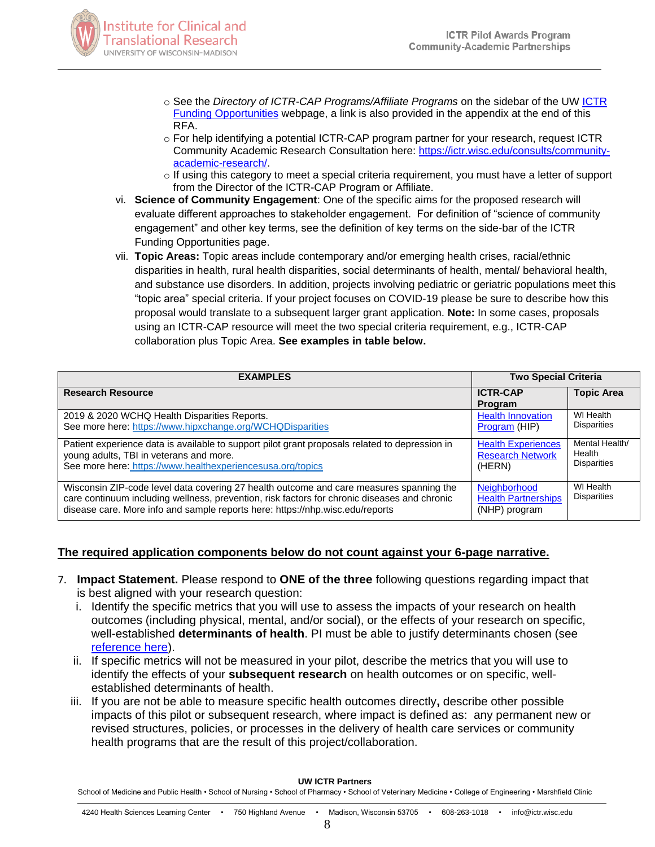

- o See the *Directory of ICTR-CAP Programs/Affiliate Programs* on the sidebar of the UW [ICTR](https://ictr.wisc.edu/funding-opportunities/)  [Funding Opportunities](https://ictr.wisc.edu/funding-opportunities/) webpage, a link is also provided in the appendix at the end of this RFA.
- $\circ$  For help identifying a potential ICTR-CAP program partner for your research, request ICTR Community Academic Research Consultation here: [https://ictr.wisc.edu/consults/community](https://ictr.wisc.edu/consults/community-academic-research/)[academic-research/.](https://ictr.wisc.edu/consults/community-academic-research/)
- $\circ$  If using this category to meet a special criteria requirement, you must have a letter of support from the Director of the ICTR-CAP Program or Affiliate.
- vi. **Science of Community Engagement**: One of the specific aims for the proposed research will evaluate different approaches to stakeholder engagement. For definition of "science of community engagement" and other key terms, see the definition of key terms on the side-bar of the ICTR Funding Opportunities page.
- vii. **Topic Areas:** Topic areas include contemporary and/or emerging health crises, racial/ethnic disparities in health, rural health disparities, social determinants of health, mental/ behavioral health, and substance use disorders. In addition, projects involving pediatric or geriatric populations meet this "topic area" special criteria. If your project focuses on COVID-19 please be sure to describe how this proposal would translate to a subsequent larger grant application. **Note:** In some cases, proposals using an ICTR-CAP resource will meet the two special criteria requirement, e.g., ICTR-CAP collaboration plus Topic Area. **See examples in table below.**

| <b>EXAMPLES</b>                                                                                                                                                                                                                                                          | <b>Two Special Criteria</b>                                    |                                                |
|--------------------------------------------------------------------------------------------------------------------------------------------------------------------------------------------------------------------------------------------------------------------------|----------------------------------------------------------------|------------------------------------------------|
| <b>Research Resource</b>                                                                                                                                                                                                                                                 | <b>ICTR-CAP</b><br>Program                                     | <b>Topic Area</b>                              |
| 2019 & 2020 WCHQ Health Disparities Reports.<br>See more here: https://www.hipxchange.org/WCHQDisparities                                                                                                                                                                | <b>Health Innovation</b><br>Program (HIP)                      | WI Health<br><b>Disparities</b>                |
| Patient experience data is available to support pilot grant proposals related to depression in<br>young adults, TBI in veterans and more.<br>See more here: https://www.healthexperiencesusa.org/topics                                                                  | <b>Health Experiences</b><br><b>Research Network</b><br>(HERN) | Mental Health/<br>Health<br><b>Disparities</b> |
| Wisconsin ZIP-code level data covering 27 health outcome and care measures spanning the<br>care continuum including wellness, prevention, risk factors for chronic diseases and chronic<br>disease care. More info and sample reports here: https://nhp.wisc.edu/reports | Neighborhood<br><b>Health Partnerships</b><br>(NHP) program    | WI Health<br><b>Disparities</b>                |

# **The required application components below do not count against your 6-page narrative.**

- 7. **Impact Statement.** Please respond to **ONE of the three** following questions regarding impact that is best aligned with your research question:
	- i. Identify the specific metrics that you will use to assess the impacts of your research on health outcomes (including physical, mental, and/or social), or the effects of your research on specific, well-established **determinants of health**. PI must be able to justify determinants chosen (see [reference here\)](https://www.healthypeople.gov/2020/about/foundation-health-measures/Determinants-of-Health).
	- ii. If specific metrics will not be measured in your pilot, describe the metrics that you will use to identify the effects of your **subsequent research** on health outcomes or on specific, wellestablished determinants of health.
	- iii. If you are not be able to measure specific health outcomes directly**,** describe other possible impacts of this pilot or subsequent research, where impact is defined as: any permanent new or revised structures, policies, or processes in the delivery of health care services or community health programs that are the result of this project/collaboration.

#### **UW ICTR Partners**

School of Medicine and Public Health • School of Nursing • School of Pharmacy • School of Veterinary Medicine • College of Engineering • Marshfield Clinic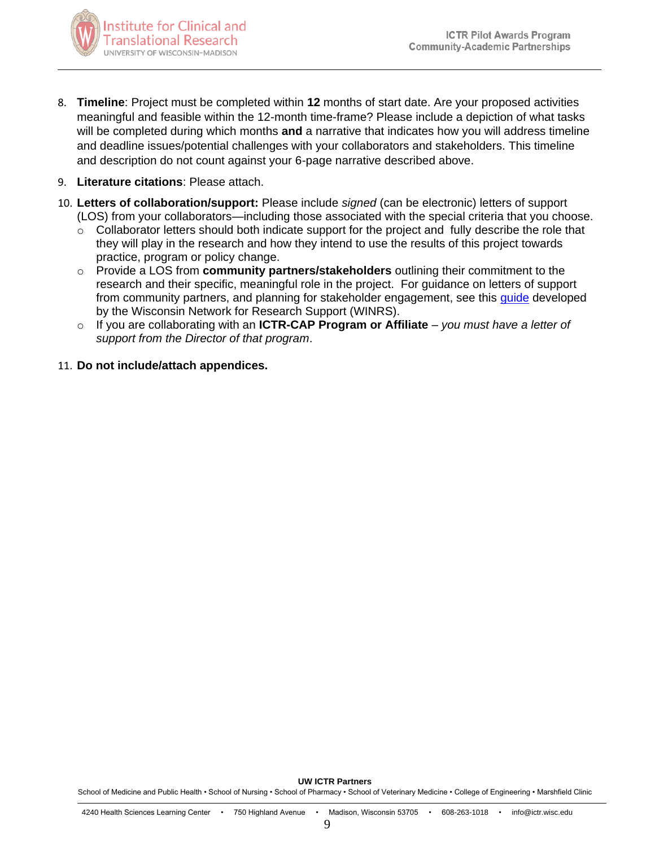

- 8. **Timeline**: Project must be completed within **12** months of start date. Are your proposed activities meaningful and feasible within the 12-month time-frame? Please include a depiction of what tasks will be completed during which months **and** a narrative that indicates how you will address timeline and deadline issues/potential challenges with your collaborators and stakeholders. This timeline and description do not count against your 6-page narrative described above.
- 9. **Literature citations**: Please attach.
- 10. **Letters of collaboration/support:** Please include *signed* (can be electronic) letters of support (LOS) from your collaborators—including those associated with the special criteria that you choose.
	- o Collaborator letters should both indicate support for the project and fully describe the role that they will play in the research and how they intend to use the results of this project towards practice, program or policy change.
	- o Provide a LOS from **community partners/stakeholders** outlining their commitment to the research and their specific, meaningful role in the project. For guidance on letters of support from community partners, and planning for stakeholder engagement, see this *quide* developed by the Wisconsin Network for Research Support (WINRS).
	- o If you are collaborating with an **ICTR-CAP Program or Affiliate** *you must have a letter of support from the Director of that program*.
- 11. **Do not include/attach appendices.**

9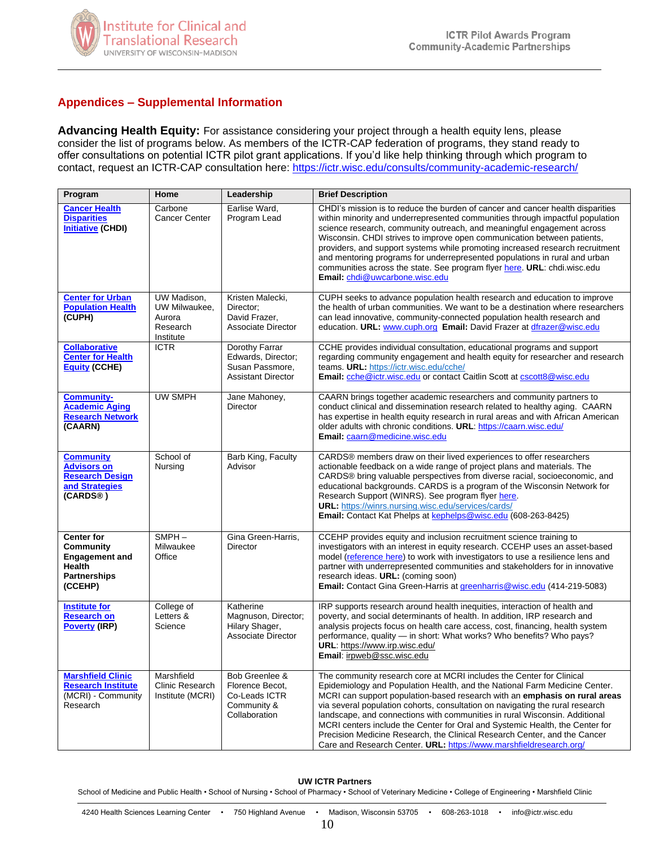

# **Appendices – Supplemental Information**

**Advancing Health Equity:** For assistance considering your project through a health equity lens, please consider the list of programs below. As members of the ICTR-CAP federation of programs, they stand ready to offer consultations on potential ICTR pilot grant applications. If you'd like help thinking through which program to contact, request an ICTR-CAP consultation here:<https://ictr.wisc.edu/consults/community-academic-research/>

| Program                                                                                                           | Home                                                            | Leadership                                                                           | <b>Brief Description</b>                                                                                                                                                                                                                                                                                                                                                                                                                                                                                                                                                                                                           |
|-------------------------------------------------------------------------------------------------------------------|-----------------------------------------------------------------|--------------------------------------------------------------------------------------|------------------------------------------------------------------------------------------------------------------------------------------------------------------------------------------------------------------------------------------------------------------------------------------------------------------------------------------------------------------------------------------------------------------------------------------------------------------------------------------------------------------------------------------------------------------------------------------------------------------------------------|
| <b>Cancer Health</b><br><b>Disparities</b><br><b>Initiative (CHDI)</b>                                            | Carbone<br><b>Cancer Center</b>                                 | Earlise Ward,<br>Program Lead                                                        | CHDI's mission is to reduce the burden of cancer and cancer health disparities<br>within minority and underrepresented communities through impactful population<br>science research, community outreach, and meaningful engagement across<br>Wisconsin. CHDI strives to improve open communication between patients,<br>providers, and support systems while promoting increased research recruitment<br>and mentoring programs for underrepresented populations in rural and urban<br>communities across the state. See program flyer here. URL: chdi.wisc.edu<br>Email: chdi@uwcarbone.wisc.edu                                  |
| <b>Center for Urban</b><br><b>Population Health</b><br>(CUPH)                                                     | UW Madison,<br>UW Milwaukee,<br>Aurora<br>Research<br>Institute | Kristen Malecki,<br>Director:<br>David Frazer,<br><b>Associate Director</b>          | CUPH seeks to advance population health research and education to improve<br>the health of urban communities. We want to be a destination where researchers<br>can lead innovative, community-connected population health research and<br>education. URL: www.cuph.org Email: David Frazer at dfrazer@wisc.edu                                                                                                                                                                                                                                                                                                                     |
| <b>Collaborative</b><br><b>Center for Health</b><br><b>Equity (CCHE)</b>                                          | <b>ICTR</b>                                                     | Dorothy Farrar<br>Edwards, Director;<br>Susan Passmore,<br><b>Assistant Director</b> | CCHE provides individual consultation, educational programs and support<br>regarding community engagement and health equity for researcher and research<br>teams. URL: https://ictr.wisc.edu/cche/<br>Email: che@ictr.wisc.edu or contact Caitlin Scott at cscott8@wisc.edu                                                                                                                                                                                                                                                                                                                                                        |
| <b>Community-</b><br><b>Academic Aging</b><br><b>Research Network</b><br>(CAARN)                                  | <b>UW SMPH</b>                                                  | Jane Mahoney,<br><b>Director</b>                                                     | CAARN brings together academic researchers and community partners to<br>conduct clinical and dissemination research related to healthy aging. CAARN<br>has expertise in health equity research in rural areas and with African American<br>older adults with chronic conditions. URL: https://caarn.wisc.edu/<br>Email: caarn@medicine.wisc.edu                                                                                                                                                                                                                                                                                    |
| <b>Community</b><br><b>Advisors on</b><br><b>Research Design</b><br>and Strategies<br>(CARDS®)                    | School of<br>Nursing                                            | Barb King, Faculty<br>Advisor                                                        | CARDS® members draw on their lived experiences to offer researchers<br>actionable feedback on a wide range of project plans and materials. The<br>CARDS® bring valuable perspectives from diverse racial, socioeconomic, and<br>educational backgrounds. CARDS is a program of the Wisconsin Network for<br>Research Support (WINRS). See program flyer here.<br>URL: https://winrs.nursing.wisc.edu/services/cards/<br>Email: Contact Kat Phelps at kephelps@wisc.edu (608-263-8425)                                                                                                                                              |
| <b>Center for</b><br><b>Community</b><br><b>Engagement and</b><br><b>Health</b><br><b>Partnerships</b><br>(CCEHP) | $SMPH -$<br>Milwaukee<br>Office                                 | Gina Green-Harris,<br><b>Director</b>                                                | CCEHP provides equity and inclusion recruitment science training to<br>investigators with an interest in equity research. CCEHP uses an asset-based<br>model (reference here) to work with investigators to use a resilience lens and<br>partner with underrepresented communities and stakeholders for in innovative<br>research ideas. URL: (coming soon)<br><b>Email:</b> Contact Gina Green-Harris at greenharris@wisc.edu (414-219-5083)                                                                                                                                                                                      |
| <b>Institute for</b><br><b>Research on</b><br><b>Poverty (IRP)</b>                                                | College of<br>Letters &<br>Science                              | Katherine<br>Magnuson, Director;<br>Hilary Shager,<br><b>Associate Director</b>      | IRP supports research around health inequities, interaction of health and<br>poverty, and social determinants of health. In addition, IRP research and<br>analysis projects focus on health care access, cost, financing, health system<br>performance, quality - in short: What works? Who benefits? Who pays?<br>URL: https://www.irp.wisc.edu/<br>Email: irpweb@ssc.wisc.edu                                                                                                                                                                                                                                                    |
| <b>Marshfield Clinic</b><br><b>Research Institute</b><br>(MCRI) - Community<br>Research                           | Marshfield<br>Clinic Research<br>Institute (MCRI)               | Bob Greenlee &<br>Florence Becot,<br>Co-Leads ICTR<br>Community &<br>Collaboration   | The community research core at MCRI includes the Center for Clinical<br>Epidemiology and Population Health, and the National Farm Medicine Center.<br>MCRI can support population-based research with an emphasis on rural areas<br>via several population cohorts, consultation on navigating the rural research<br>landscape, and connections with communities in rural Wisconsin. Additional<br>MCRI centers include the Center for Oral and Systemic Health, the Center for<br>Precision Medicine Research, the Clinical Research Center, and the Cancer<br>Care and Research Center. URL: https://www.marshfieldresearch.org/ |

#### **UW ICTR Partners**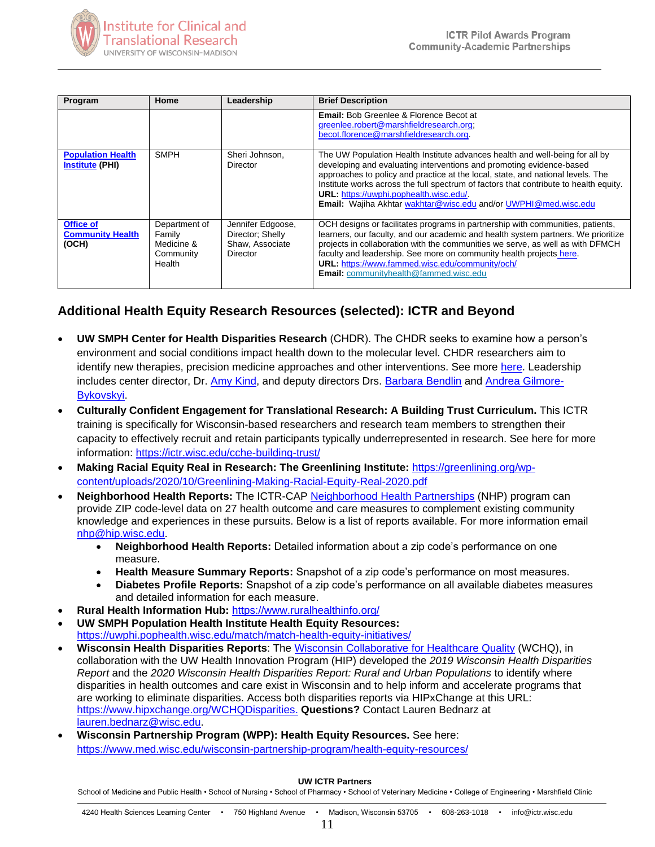

| Program                                              | Home                                                         | Leadership                                                           | <b>Brief Description</b>                                                                                                                                                                                                                                                                                                                                                                                                                                     |
|------------------------------------------------------|--------------------------------------------------------------|----------------------------------------------------------------------|--------------------------------------------------------------------------------------------------------------------------------------------------------------------------------------------------------------------------------------------------------------------------------------------------------------------------------------------------------------------------------------------------------------------------------------------------------------|
|                                                      |                                                              |                                                                      | <b>Email:</b> Bob Greenlee & Florence Becot at<br>greenlee.robert@marshfieldresearch.org;<br>becot.florence@marshfieldresearch.org.                                                                                                                                                                                                                                                                                                                          |
| <b>Population Health</b><br><b>Institute (PHI)</b>   | <b>SMPH</b>                                                  | Sheri Johnson,<br>Director                                           | The UW Population Health Institute advances health and well-being for all by<br>developing and evaluating interventions and promoting evidence-based<br>approaches to policy and practice at the local, state, and national levels. The<br>Institute works across the full spectrum of factors that contribute to health equity.<br><b>URL:</b> https://uwphi.pophealth.wisc.edu/.<br><b>Email:</b> Wajiha Akhtar wakhtar@wisc.edu and/or UWPHI@med.wisc.edu |
| <b>Office of</b><br><b>Community Health</b><br>(OCH) | Department of<br>Family<br>Medicine &<br>Community<br>Health | Jennifer Edgoose,<br>Director: Shelly<br>Shaw. Associate<br>Director | OCH designs or facilitates programs in partnership with communities, patients,<br>learners, our faculty, and our academic and health system partners. We prioritize<br>projects in collaboration with the communities we serve, as well as with DFMCH<br>faculty and leadership. See more on community health projects here.<br>URL: https://www.fammed.wisc.edu/community/och/<br><b>Email:</b> communityhealth@fammed.wisc.edu                             |

# **Additional Health Equity Research Resources (selected): ICTR and Beyond**

- **UW SMPH Center for Health Disparities Research** (CHDR). The CHDR seeks to examine how a person's environment and social conditions impact health down to the molecular level. CHDR researchers aim to identify new therapies, precision medicine approaches and other interventions. See more [here.](https://www.med.wisc.edu/news-and-events/2021/may/uw-creates-center-for-health-disparities-research/?fbclid=IwAR3XRUTOVhxj0b2pVmS5-TEMC7buQccdUnbHX4CBTGqJJv6rFo5WlInj3oo) Leadership includes center director, Dr. [Amy Kind,](https://www.medicine.wisc.edu/people-search/people/staff/537/KIND_AMY_JO) and deputy directors Drs. [Barbara Bendlin](https://www.medicine.wisc.edu/people-search/people/staff/643/Bendlin_Barbara) and [Andrea Gilmore-](https://nursing.wisc.edu/staff/gilmore-bykovskyi-andrea/)[Bykovskyi.](https://nursing.wisc.edu/staff/gilmore-bykovskyi-andrea/)
- **Culturally Confident Engagement for Translational Research: A Building Trust Curriculum.** This ICTR training is specifically for Wisconsin-based researchers and research team members to strengthen their capacity to effectively recruit and retain participants typically underrepresented in research. See here for more information:<https://ictr.wisc.edu/cche-building-trust/>
- **Making Racial Equity Real in Research: The Greenlining Institute:** [https://greenlining.org/wp](https://greenlining.org/wp-content/uploads/2020/10/Greenlining-Making-Racial-Equity-Real-2020.pdf)[content/uploads/2020/10/Greenlining-Making-Racial-Equity-Real-2020.pdf](https://greenlining.org/wp-content/uploads/2020/10/Greenlining-Making-Racial-Equity-Real-2020.pdf)
- **Neighborhood Health Reports:** The ICTR-CAP [Neighborhood Health Partnerships](https://nhp.wisc.edu/) (NHP) program can provide ZIP code-level data on 27 health outcome and care measures to complement existing community knowledge and experiences in these pursuits. Below is a list of reports available. For more information email [nhp@hip.wisc.edu.](mailto:nhp@hip.wisc.edu)
	- **Neighborhood Health Reports:** Detailed information about a zip code's performance on one measure.
	- **Health Measure Summary Reports:** Snapshot of a zip code's performance on most measures.
	- **Diabetes Profile Reports:** Snapshot of a zip code's performance on all available diabetes measures and detailed information for each measure.
- **Rural Health Information Hub:** <https://www.ruralhealthinfo.org/>
- **UW SMPH Population Health Institute Health Equity Resources:** <https://uwphi.pophealth.wisc.edu/match/match-health-equity-initiatives/>
- **Wisconsin Health Disparities Reports**: The [Wisconsin Collaborative for Healthcare Quality](http://www.wchq.org/) (WCHQ), in collaboration with the UW Health Innovation Program (HIP) developed the *2019 Wisconsin Health Disparities Report* and the *2020 Wisconsin Health Disparities Report: Rural and Urban Populations* to identify where disparities in health outcomes and care exist in Wisconsin and to help inform and accelerate programs that are working to eliminate disparities. Access both disparities reports via HIPxChange at this URL: [https://www.hipxchange.org/WCHQDisparities.](https://www.hipxchange.org/WCHQDisparities) **Questions?** Contact Lauren Bednarz at [lauren.bednarz@wisc.edu.](mailto:lauren.bednarz@wisc.edu)
- **Wisconsin Partnership Program (WPP): Health Equity Resources.** See here: <https://www.med.wisc.edu/wisconsin-partnership-program/health-equity-resources/>

#### **UW ICTR Partners**